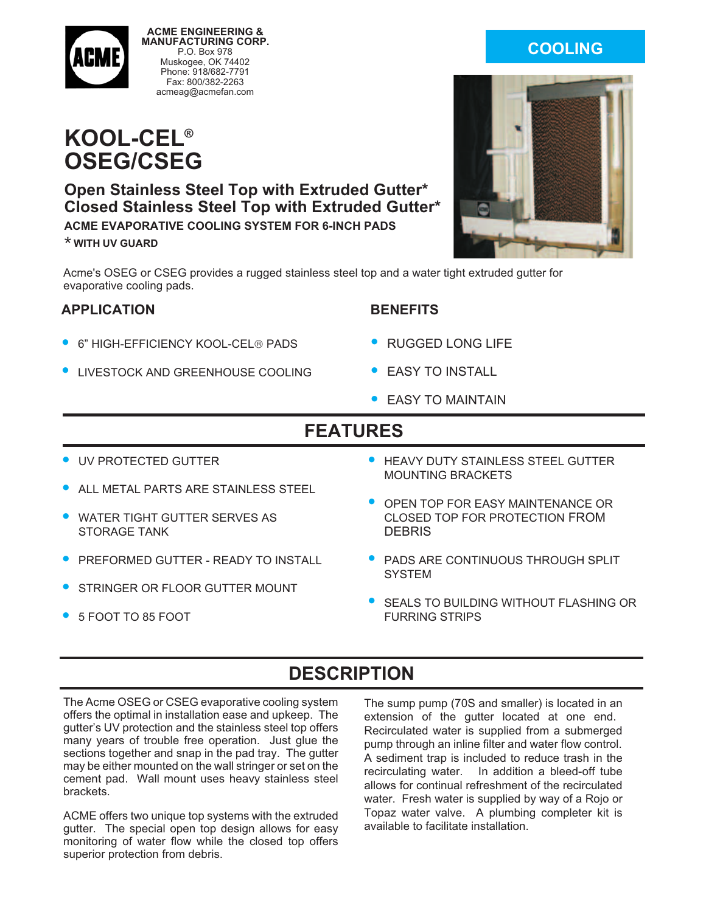

**ACME ENGINEERING & MANUFACTURING CORP.** P.O. Box 978 Muskogee, OK 74402 Phone: 918/682-7791 Fax: 800/382-2263 acmeag@acmefan.com

# **KOOL-CEL® OSEG/CSEG**

#### **Open Stainless Steel Top with Extruded Gutter\* Closed Stainless Steel Top with Extruded Gutter\* ACME EVAPORATIVE COOLING SYSTEM FOR 6-INCH PADS**

**\* WITH UV GUARD**

Acme's OSEG or CSEG provides a rugged stainless steel top and a water tight extruded gutter for evaporative cooling pads.

#### **APPLICATION**

- 6" HIGH-EFFICIENCY KOOL-CEL® PADS
- LIVESTOCK AND GREENHOUSE COOLING
- **BENEFITS**
- RUGGED LONG LIFE
- **EASY TO INSTALL**
- EASY TO MAINTAIN

## **FEATURES**

- UV PROTECTED GUTTER
- ALL METAL PARTS ARE STAINLESS STEEL
- WATER TIGHT GUTTER SERVES AS STORAGE TANK
- PREFORMED GUTTER READY TO INSTALL
- STRINGER OR FLOOR GUTTER MOUNT
- 5 FOOT TO 85 FOOT
- HEAVY DUTY STAINLESS STEEL GUTTER MOUNTING BRACKETS
- OPEN TOP FOR EASY MAINTENANCE OR CLOSED TOP FOR PROTECTION FROM **DEBRIS**
- PADS ARE CONTINUOUS THROUGH SPLIT **SYSTEM**
- SEALS TO BUILDING WITHOUT FLASHING OR FURRING STRIPS

## **DESCRIPTION**

The Acme OSEG or CSEG evaporative cooling system offers the optimal in installation ease and upkeep. The gutter's UV protection and the stainless steel top offers many years of trouble free operation. Just glue the sections together and snap in the pad tray. The gutter may be either mounted on the wall stringer or set on the cement pad. Wall mount uses heavy stainless steel brackets.

ACME offers two unique top systems with the extruded gutter. The special open top design allows for easy monitoring of water flow while the closed top offers superior protection from debris.

The sump pump (70S and smaller) is located in an extension of the gutter located at one end. Recirculated water is supplied from a submerged pump through an inline filter and water flow control. A sediment trap is included to reduce trash in the recirculating water. In addition a bleed-off tube allows for continual refreshment of the recirculated water. Fresh water is supplied by way of a Rojo or Topaz water valve. A plumbing completer kit is available to facilitate installation.

### **COOLING**